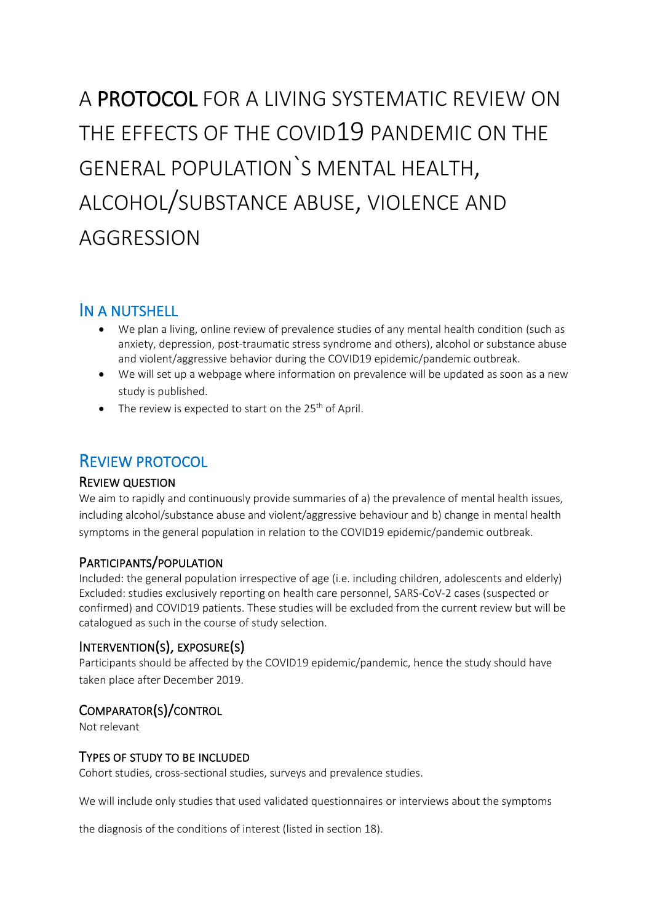# A PROTOCOL FOR A LIVING SYSTEMATIC REVIEW ON THE EFFECTS OF THE COVID19 PANDEMIC ON THE GENERAL POPULATION`S MENTAL HEALTH, ALCOHOL/SUBSTANCE ABUSE, VIOLENCE AND AGGRESSION

# IN A NUTSHELL

- We plan a living, online review of prevalence studies of any mental health condition (such as anxiety, depression, post-traumatic stress syndrome and others), alcohol or substance abuse and violent/aggressive behavior during the COVID19 epidemic/pandemic outbreak.
- We will set up a webpage where information on prevalence will be updated as soon as a new study is published.
- $\bullet$  The review is expected to start on the 25<sup>th</sup> of April.

# REVIEW PROTOCOL

# REVIEW QUESTION

We aim to rapidly and continuously provide summaries of a) the prevalence of mental health issues, including alcohol/substance abuse and violent/aggressive behaviour and b) change in mental health symptoms in the general population in relation to the COVID19 epidemic/pandemic outbreak.

# PARTICIPANTS/POPULATION

Included: the general population irrespective of age (i.e. including children, adolescents and elderly) Excluded: studies exclusively reporting on health care personnel, SARS-CoV-2 cases (suspected or confirmed) and COVID19 patients. These studies will be excluded from the current review but will be catalogued as such in the course of study selection.

# INTERVENTION(S), EXPOSURE(S)

Participants should be affected by the COVID19 epidemic/pandemic, hence the study should have taken place after December 2019.

# COMPARATOR(S)/CONTROL

Not relevant

# TYPES OF STUDY TO BE INCLUDED

Cohort studies, cross-sectional studies, surveys and prevalence studies.

We will include only studies that used validated questionnaires or interviews about the symptoms

the diagnosis of the conditions of interest (listed in section 18).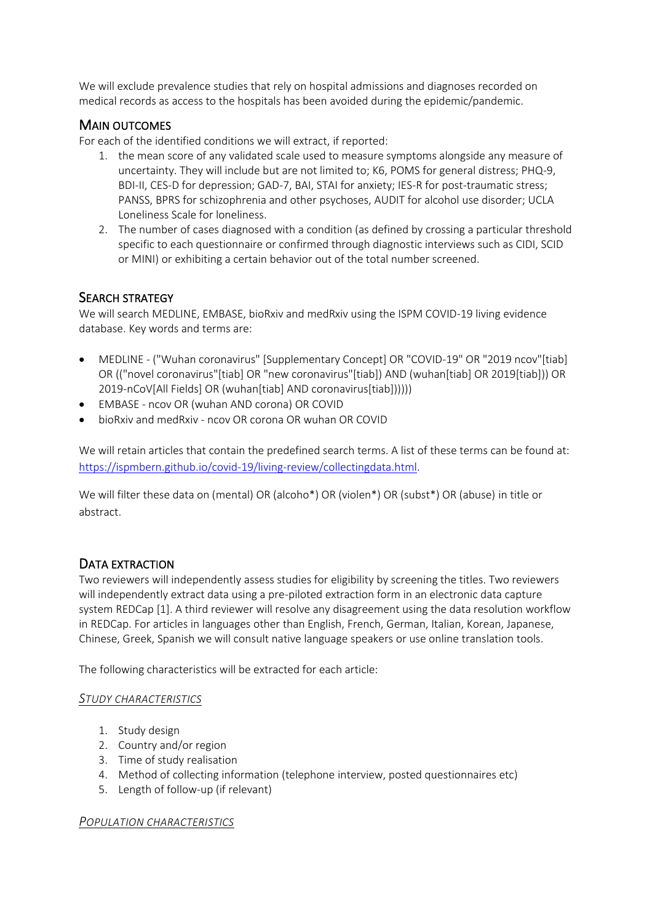We will exclude prevalence studies that rely on hospital admissions and diagnoses recorded on medical records as access to the hospitals has been avoided during the epidemic/pandemic.

# MAIN OUTCOMES

For each of the identified conditions we will extract, if reported:

- 1. the mean score of any validated scale used to measure symptoms alongside any measure of uncertainty. They will include but are not limited to; K6, POMS for general distress; PHQ-9, BDI-II, CES-D for depression; GAD-7, BAI, STAI for anxiety; IES-R for post-traumatic stress; PANSS, BPRS for schizophrenia and other psychoses, AUDIT for alcohol use disorder; UCLA Loneliness Scale for loneliness.
- 2. The number of cases diagnosed with a condition (as defined by crossing a particular threshold specific to each questionnaire or confirmed through diagnostic interviews such as CIDI, SCID or MINI) or exhibiting a certain behavior out of the total number screened.

# SEARCH STRATEGY

We will search MEDLINE, EMBASE, bioRxiv and medRxiv using the ISPM COVID-19 living evidence database. Key words and terms are:

- MEDLINE ("Wuhan coronavirus" [Supplementary Concept] OR "COVID-19" OR "2019 ncov"[tiab] OR (("novel coronavirus"[tiab] OR "new coronavirus"[tiab]) AND (wuhan[tiab] OR 2019[tiab])) OR 2019-nCoV[All Fields] OR (wuhan[tiab] AND coronavirus[tiab])))))
- EMBASE ncov OR (wuhan AND corona) OR COVID
- bioRxiv and medRxiv ncov OR corona OR wuhan OR COVID

We will retain articles that contain the predefined search terms. A list of these terms can be found at: [https://ispmbern.github.io/covid-19/living-review/collectingdata.html.](https://ispmbern.github.io/covid-19/living-review/collectingdata.html)

We will filter these data on (mental) OR (alcoho\*) OR (violen\*) OR (subst\*) OR (abuse) in title or abstract.

#### DATA EXTRACTION

Two reviewers will independently assess studies for eligibility by screening the titles. Two reviewers will independently extract data using a pre-piloted extraction form in an electronic data capture system REDCap [1]. A third reviewer will resolve any disagreement using the data resolution workflow in REDCap. For articles in languages other than English, French, German, Italian, Korean, Japanese, Chinese, Greek, Spanish we will consult native language speakers or use online translation tools.

The following characteristics will be extracted for each article:

#### *STUDY CHARACTERISTICS*

- 1. Study design
- 2. Country and/or region
- 3. Time of study realisation
- 4. Method of collecting information (telephone interview, posted questionnaires etc)
- 5. Length of follow-up (if relevant)

#### *POPULATION CHARACTERISTICS*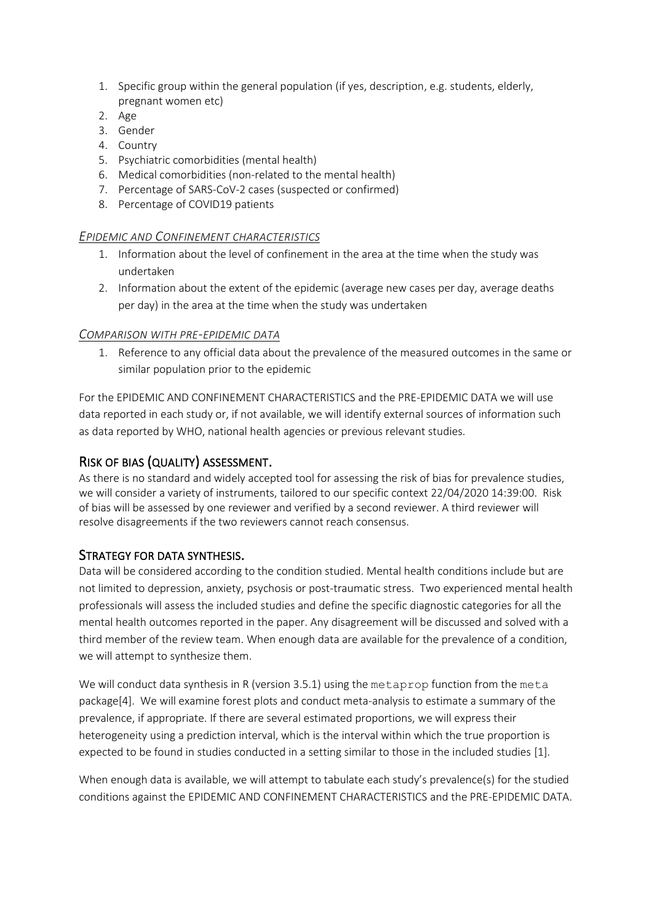- 1. Specific group within the general population (if yes, description, e.g. students, elderly, pregnant women etc)
- 2. Age
- 3. Gender
- 4. Country
- 5. Psychiatric comorbidities (mental health)
- 6. Medical comorbidities (non-related to the mental health)
- 7. Percentage of SARS-CoV-2 cases (suspected or confirmed)
- 8. Percentage of COVID19 patients

#### *EPIDEMIC AND CONFINEMENT CHARACTERISTICS*

- 1. Information about the level of confinement in the area at the time when the study was undertaken
- 2. Information about the extent of the epidemic (average new cases per day, average deaths per day) in the area at the time when the study was undertaken

#### *COMPARISON WITH PRE-EPIDEMIC DATA*

1. Reference to any official data about the prevalence of the measured outcomes in the same or similar population prior to the epidemic

For the EPIDEMIC AND CONFINEMENT CHARACTERISTICS and the PRE-EPIDEMIC DATA we will use data reported in each study or, if not available, we will identify external sources of information such as data reported by WHO, national health agencies or previous relevant studies.

# RISK OF BIAS (QUALITY) ASSESSMENT.

As there is no standard and widely accepted tool for assessing the risk of bias for prevalence studies, we will consider a variety of instruments, tailored to our specific context 22/04/2020 14:39:00. Risk of bias will be assessed by one reviewer and verified by a second reviewer. A third reviewer will resolve disagreements if the two reviewers cannot reach consensus.

# STRATEGY FOR DATA SYNTHESIS.

Data will be considered according to the condition studied. Mental health conditions include but are not limited to depression, anxiety, psychosis or post-traumatic stress. Two experienced mental health professionals will assess the included studies and define the specific diagnostic categories for all the mental health outcomes reported in the paper. Any disagreement will be discussed and solved with a third member of the review team. When enough data are available for the prevalence of a condition, we will attempt to synthesize them.

We will conduct data synthesis in R (version 3.5.1) using the metaprop function from the meta package[4]. We will examine forest plots and conduct meta-analysis to estimate a summary of the prevalence, if appropriate. If there are several estimated proportions, we will express their heterogeneity using a prediction interval, which is the interval within which the true proportion is expected to be found in studies conducted in a setting similar to those in the included studies [1].

When enough data is available, we will attempt to tabulate each study's prevalence(s) for the studied conditions against the EPIDEMIC AND CONFINEMENT CHARACTERISTICS and the PRE-EPIDEMIC DATA.